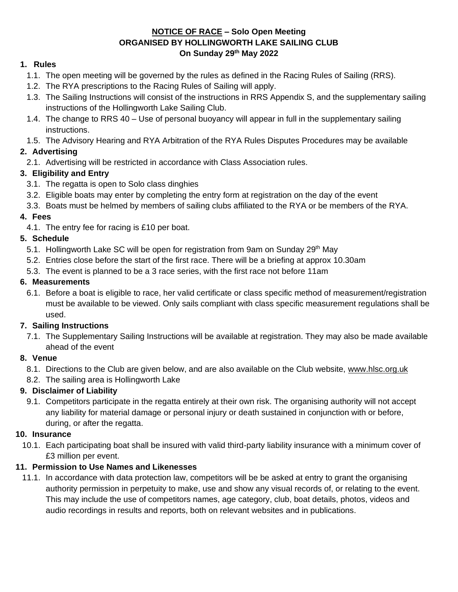#### **NOTICE OF RACE – Solo Open Meeting ORGANISED BY HOLLINGWORTH LAKE SAILING CLUB On Sunday 29th May 2022**

#### **1. Rules**

- 1.1. The open meeting will be governed by the rules as defined in the Racing Rules of Sailing (RRS).
- 1.2. The RYA prescriptions to the Racing Rules of Sailing will apply.
- 1.3. The Sailing Instructions will consist of the instructions in RRS Appendix S, and the supplementary sailing instructions of the Hollingworth Lake Sailing Club.
- 1.4. The change to RRS 40 Use of personal buoyancy will appear in full in the supplementary sailing instructions.
- 1.5. The Advisory Hearing and RYA Arbitration of the RYA Rules Disputes Procedures may be available

# **2. Advertising**

2.1. Advertising will be restricted in accordance with Class Association rules.

# **3. Eligibility and Entry**

- 3.1. The regatta is open to Solo class dinghies
- 3.2. Eligible boats may enter by completing the entry form at registration on the day of the event
- 3.3. Boats must be helmed by members of sailing clubs affiliated to the RYA or be members of the RYA.

#### **4. Fees**

4.1. The entry fee for racing is £10 per boat.

## **5. Schedule**

- 5.1. Hollingworth Lake SC will be open for registration from 9am on Sunday 29<sup>th</sup> May
- 5.2. Entries close before the start of the first race. There will be a briefing at approx 10.30am
- 5.3. The event is planned to be a 3 race series, with the first race not before 11am

## **6. Measurements**

6.1. Before a boat is eligible to race, her valid certificate or class specific method of measurement/registration must be available to be viewed. Only sails compliant with class specific measurement regulations shall be used.

## **7. Sailing Instructions**

7.1. The Supplementary Sailing Instructions will be available at registration. They may also be made available ahead of the event

## **8. Venue**

- 8.1. Directions to the Club are given below, and are also available on the Club website, [www.hlsc.org.uk](http://www.hlsc.org.uk/)
- 8.2. The sailing area is Hollingworth Lake

## **9. Disclaimer of Liability**

9.1. Competitors participate in the regatta entirely at their own risk. The organising authority will not accept any liability for material damage or personal injury or death sustained in conjunction with or before, during, or after the regatta.

## **10. Insurance**

10.1. Each participating boat shall be insured with valid third-party liability insurance with a minimum cover of £3 million per event.

## **11. Permission to Use Names and Likenesses**

11.1. In accordance with data protection law, competitors will be be asked at entry to grant the organising authority permission in perpetuity to make, use and show any visual records of, or relating to the event. This may include the use of competitors names, age category, club, boat details, photos, videos and audio recordings in results and reports, both on relevant websites and in publications.